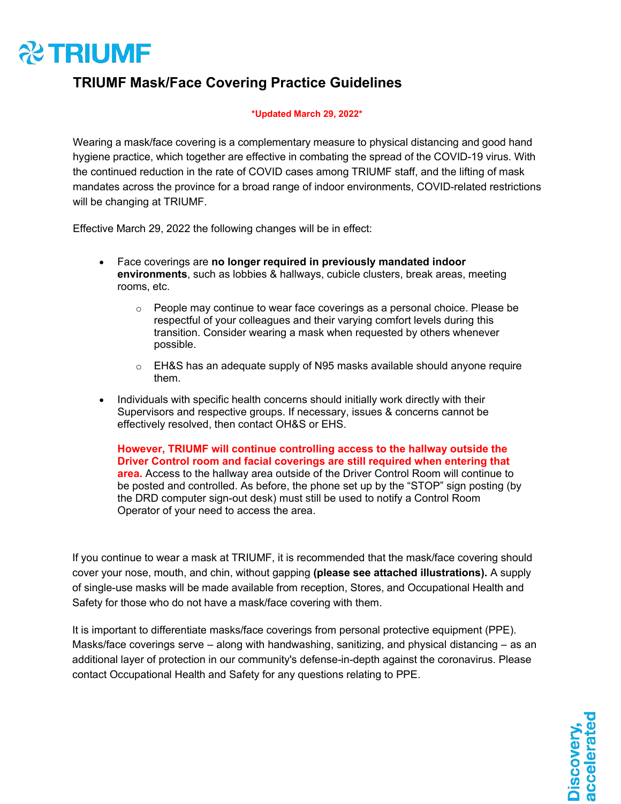# **22 TRIUMF**

### **TRIUMF Mask/Face Covering Practice Guidelines**

### **\*Updated March 29, 2022\***

Wearing a mask/face covering is a complementary measure to physical distancing and good hand hygiene practice, which together are effective in combating the spread of the COVID-19 virus. With the continued reduction in the rate of COVID cases among TRIUMF staff, and the lifting of mask mandates across the province for a broad range of indoor environments, COVID-related restrictions will be changing at TRIUMF.

Effective March 29, 2022 the following changes will be in effect:

- Face coverings are **no longer required in previously mandated indoor environments**, such as lobbies & hallways, cubicle clusters, break areas, meeting rooms, etc.
	- $\circ$  People may continue to wear face coverings as a personal choice. Please be respectful of your colleagues and their varying comfort levels during this transition. Consider wearing a mask when requested by others whenever possible.
	- $\circ$  EH&S has an adequate supply of N95 masks available should anyone require them.
- Individuals with specific health concerns should initially work directly with their Supervisors and respective groups. If necessary, issues & concerns cannot be effectively resolved, then contact OH&S or EHS.

**However, TRIUMF will continue controlling access to the hallway outside the Driver Control room and facial coverings are still required when entering that area.** Access to the hallway area outside of the Driver Control Room will continue to be posted and controlled. As before, the phone set up by the "STOP" sign posting (by the DRD computer sign-out desk) must still be used to notify a Control Room Operator of your need to access the area.

If you continue to wear a mask at TRIUMF, it is recommended that the mask/face covering should cover your nose, mouth, and chin, without gapping **(please see attached illustrations).** A supply of single-use masks will be made available from reception, Stores, and Occupational Health and Safety for those who do not have a mask/face covering with them.

It is important to differentiate masks/face coverings from personal protective equipment (PPE). Masks/face coverings serve – along with handwashing, sanitizing, and physical distancing – as an additional layer of protection in our community's defense-in-depth against the coronavirus. Please contact Occupational Health and Safety for any questions relating to PPE.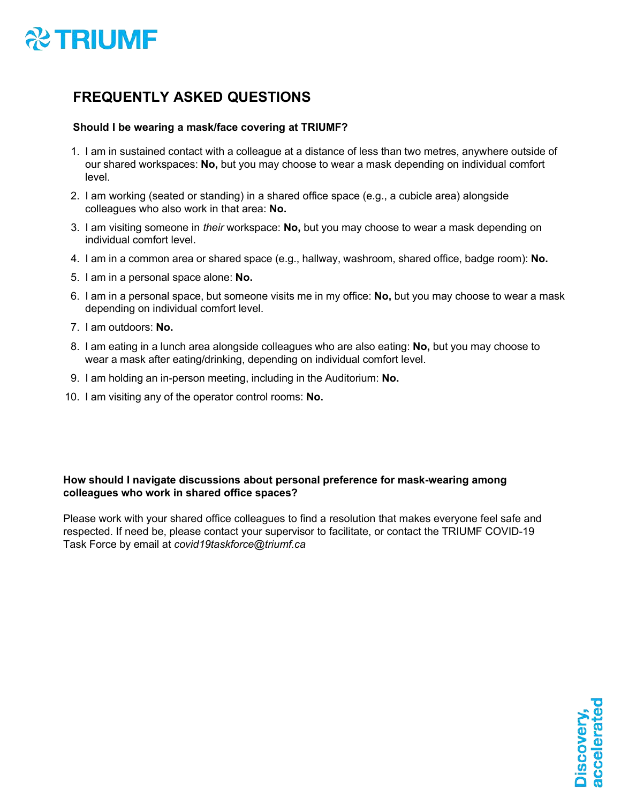

### **FREQUENTLY ASKED QUESTIONS**

### **Should I be wearing a mask/face covering at TRIUMF?**

- 1. I am in sustained contact with a colleague at a distance of less than two metres, anywhere outside of our shared workspaces: **No,** but you may choose to wear a mask depending on individual comfort level.
- 2. I am working (seated or standing) in a shared office space (e.g., a cubicle area) alongside colleagues who also work in that area: **No.**
- 3. I am visiting someone in *their* workspace: **No,** but you may choose to wear a mask depending on individual comfort level.
- 4. I am in a common area or shared space (e.g., hallway, washroom, shared office, badge room): **No.**
- 5. I am in a personal space alone: **No.**
- 6. I am in a personal space, but someone visits me in my office: **No,** but you may choose to wear a mask depending on individual comfort level.
- 7. I am outdoors: **No.**
- 8. I am eating in a lunch area alongside colleagues who are also eating: **No,** but you may choose to wear a mask after eating/drinking, depending on individual comfort level.
- 9. I am holding an in-person meeting, including in the Auditorium: **No.**
- 10. I am visiting any of the operator control rooms: **No.**

### **How should I navigate discussions about personal preference for mask-wearing among colleagues who work in shared office spaces?**

Please work with your shared office colleagues to find a resolution that makes everyone feel safe and respected. If need be, please contact your supervisor to facilitate, or contact the TRIUMF COVID-19 Task Force by email at *[covid19taskforce@triumf.ca](mailto:covid19taskforce@triumf.ca)*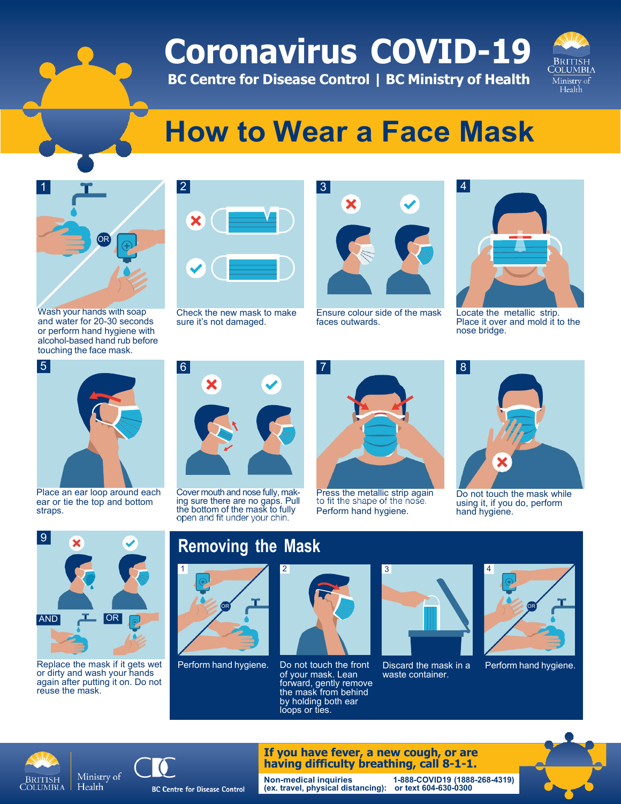# **Coronavirus COVID-19**

**BC Centre for Disease Control | BC Ministry of Health**



# **How to Wear a Face Mask**



Wash your hands with soap and water for 20-30 seconds or perform hand hygiene with alcohol-based hand rub before touching the face mask.



Check the new mask to make sure it's not damaged.



Ensure colour side of the mask faces outwards.



Locate the metallic strip. Place it over and mold it to the nose bridge.



Place an ear loop around each ear or tie the top and bottom straps.



Replace the mask if it gets wet or dirty and wash your hands again after putting it on. Do not reuse the mask.

Cover mouth and nose fully, mak- ing sure there are no gaps. Pull the bottom of the mask to fully



Press the metallic strip again<br>to fit the shape of the nose. Perform hand hygiene.



Do not touch the mask while using it, if you do, perform hand hygiene.





Perform hand hygiene. Do not touch the front of your mask. Lean forward, gently remove the mask from behind by holding both ear loops or ties.



Discard the mask in a waste container.



Perform hand hygiene.







**Non-medical inquiries (ex. travel, physical distancing): or text 604-630-0300 1-888-COVID19 (1888-268-4319)**